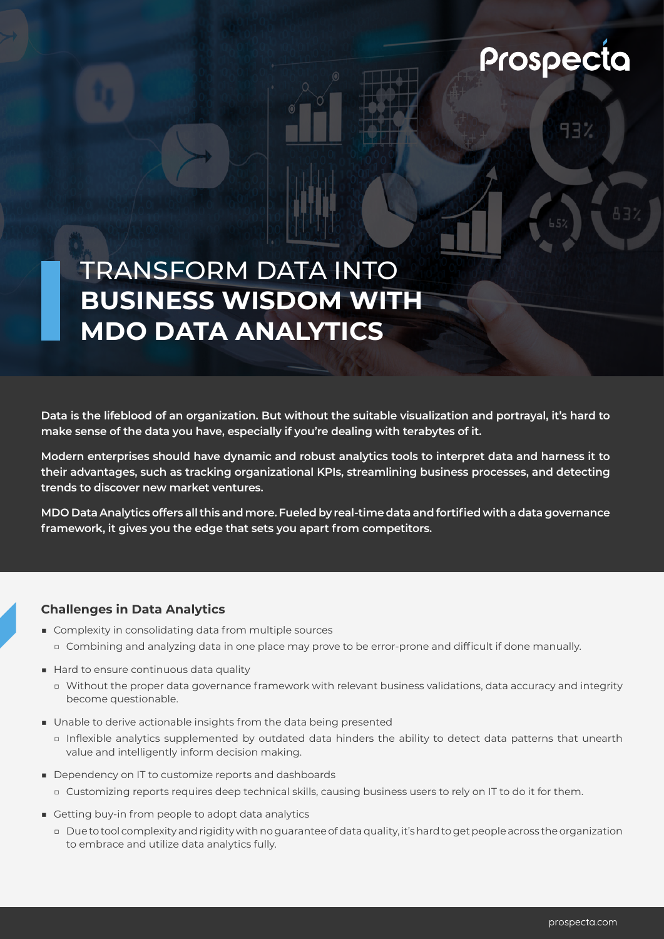# Prospecta

## TRANSFORM DATA INTO **BUSINESS WISDOM WITH MDO DATA ANALYTICS**

**Data is the lifeblood of an organization. But without the suitable visualization and portrayal, it's hard to make sense of the data you have, especially if you're dealing with terabytes of it.** 

**Modern enterprises should have dynamic and robust analytics tools to interpret data and harness it to their advantages, such as tracking organizational KPIs, streamlining business processes, and detecting trends to discover new market ventures.**

**MDO Data Analytics offers all this and more. Fueled by real-time data and fortified with a data governance framework, it gives you the edge that sets you apart from competitors.**

### **Challenges in Data Analytics**

- Complexity in consolidating data from multiple sources
	- □ Combining and analyzing data in one place may prove to be error-prone and difficult if done manually.
- Hard to ensure continuous data quality
	- □ Without the proper data governance framework with relevant business validations, data accuracy and integrity become questionable.
- Unable to derive actionable insights from the data being presented
	- □ Inflexible analytics supplemented by outdated data hinders the ability to detect data patterns that unearth value and intelligently inform decision making.
- Dependency on IT to customize reports and dashboards
	- □ Customizing reports requires deep technical skills, causing business users to rely on IT to do it for them.
- Getting buy-in from people to adopt data analytics
	- □ Due to tool complexity and rigidity with no guarantee of data quality, it's hard to get people across the organization to embrace and utilize data analytics fully.